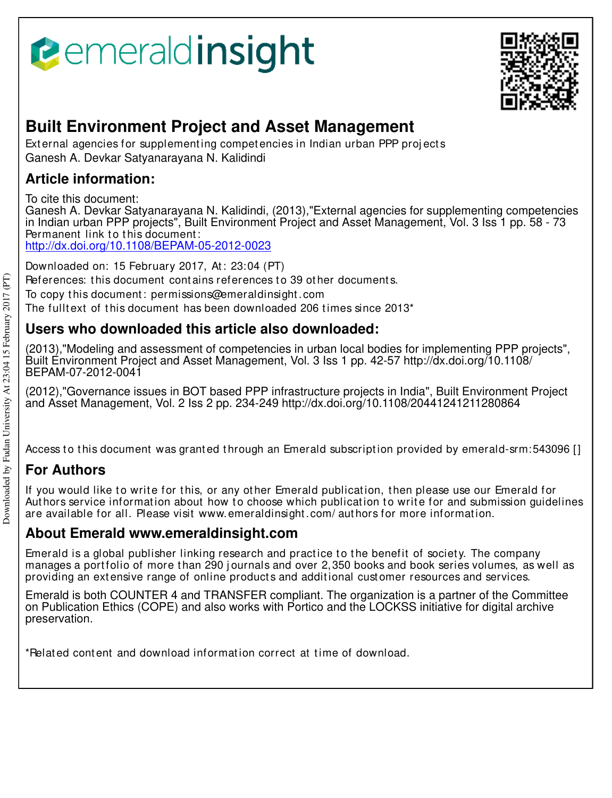# **Bemeraldinsight**



## **Built Environment Project and Asset Management**

Ext ernal agencies for supplement ing compet encies in Indian urban PPP proj ect s Ganesh A. Devkar Satyanarayana N. Kalidindi

## **Article information:**

To cite this document:

Ganesh A. Devkar Satyanarayana N. Kalidindi, (2013),"External agencies for supplementing competencies in Indian urban PPP projects", Built Environment Project and Asset Management, Vol. 3 Iss 1 pp. 58 - 73 Permanent link to this document: http://dx.doi.org/10.1108/BEPAM-05-2012-0023

Downloaded on: 15 February 2017, At : 23:04 (PT) References: this document contains references to 39 other documents.

To copy t his document : permissions@emeraldinsight .com

The fulltext of this document has been downloaded 206 times since  $2013$ <sup>\*</sup>

## **Users who downloaded this article also downloaded:**

(2013),"Modeling and assessment of competencies in urban local bodies for implementing PPP projects", Built Environment Project and Asset Management, Vol. 3 Iss 1 pp. 42-57 http://dx.doi.org/10.1108/ BEPAM-07-2012-0041

(2012),"Governance issues in BOT based PPP infrastructure projects in India", Built Environment Project and Asset Management, Vol. 2 Iss 2 pp. 234-249 http://dx.doi.org/10.1108/20441241211280864

Access to this document was granted through an Emerald subscription provided by emerald-srm: 543096 []

## **For Authors**

If you would like to write for this, or any other Emerald publication, then please use our Emerald for Authors service information about how to choose which publication to write for and submission quidelines are available for all. Please visit www.emeraldinsight.com/ authors for more information.

### **About Emerald www.emeraldinsight.com**

Emerald is a global publisher linking research and practice to the benefit of society. The company manages a portfolio of more than 290 journals and over 2,350 books and book series volumes, as well as providing an extensive range of online products and additional customer resources and services.

Emerald is both COUNTER 4 and TRANSFER compliant. The organization is a partner of the Committee on Publication Ethics (COPE) and also works with Portico and the LOCKSS initiative for digital archive preservation.

\*Relat ed cont ent and download informat ion correct at t ime of download.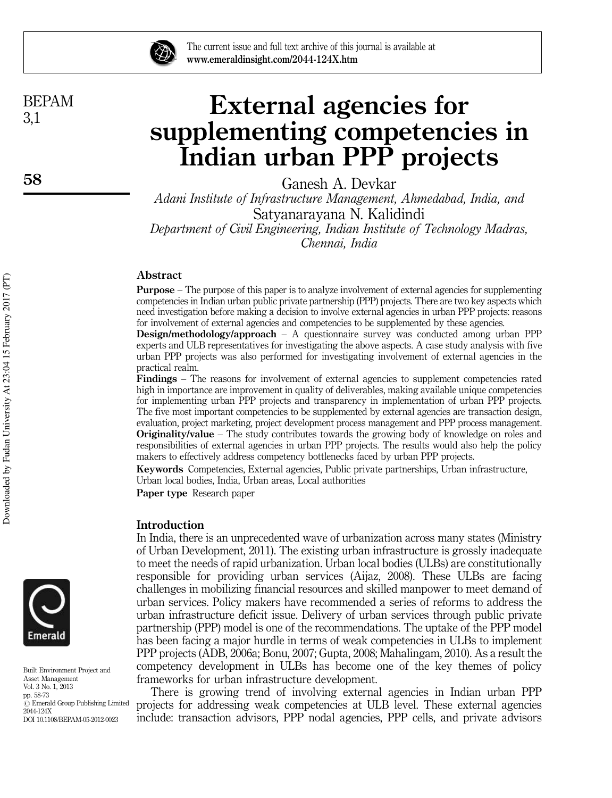

The current issue and full text archive of this journal is available at www.emeraldinsight.com/2044-124X.htm

BEPAM 3,1

58

## External agencies for supplementing competencies in Indian urban PPP projects

Ganesh A. Devkar

*Adani Institute of Infrastructure Management, Ahmedabad, India, and* Satyanarayana N. Kalidindi *Department of Civil Engineering, Indian Institute of Technology Madras,*

*Chennai, India*

#### Abstract

Purpose – The purpose of this paper is to analyze involvement of external agencies for supplementing competencies in Indian urban public private partnership (PPP) projects. There are two key aspects which need investigation before making a decision to involve external agencies in urban PPP projects: reasons for involvement of external agencies and competencies to be supplemented by these agencies.

Design/methodology/approach – A questionnaire survey was conducted among urban PPP experts and ULB representatives for investigating the above aspects. A case study analysis with five urban PPP projects was also performed for investigating involvement of external agencies in the practical realm.

Findings – The reasons for involvement of external agencies to supplement competencies rated high in importance are improvement in quality of deliverables, making available unique competencies for implementing urban PPP projects and transparency in implementation of urban PPP projects. The five most important competencies to be supplemented by external agencies are transaction design, evaluation, project marketing, project development process management and PPP process management. Originality/value – The study contributes towards the growing body of knowledge on roles and responsibilities of external agencies in urban PPP projects. The results would also help the policy makers to effectively address competency bottlenecks faced by urban PPP projects.

Keywords Competencies, External agencies, Public private partnerships, Urban infrastructure, Urban local bodies, India, Urban areas, Local authorities

Paper type Research paper

#### Introduction

In India, there is an unprecedented wave of urbanization across many states (Ministry of Urban Development, 2011). The existing urban infrastructure is grossly inadequate to meet the needs of rapid urbanization. Urban local bodies (ULBs) are constitutionally responsible for providing urban services (Aijaz, 2008). These ULBs are facing challenges in mobilizing financial resources and skilled manpower to meet demand of urban services. Policy makers have recommended a series of reforms to address the urban infrastructure deficit issue. Delivery of urban services through public private partnership (PPP) model is one of the recommendations. The uptake of the PPP model has been facing a major hurdle in terms of weak competencies in ULBs to implement PPP projects (ADB, 2006a; Bonu, 2007; Gupta, 2008; Mahalingam, 2010). As a result the competency development in ULBs has become one of the key themes of policy frameworks for urban infrastructure development.

There is growing trend of involving external agencies in Indian urban PPP projects for addressing weak competencies at ULB level. These external agencies include: transaction advisors, PPP nodal agencies, PPP cells, and private advisors



Built Environment Project and Asset Management Vol. 3 No. 1, 2013 pp. 58-73  $\odot$  Emerald Group Publishing Limited 2044-124X DOI 10.1108/BEPAM-05-2012-0023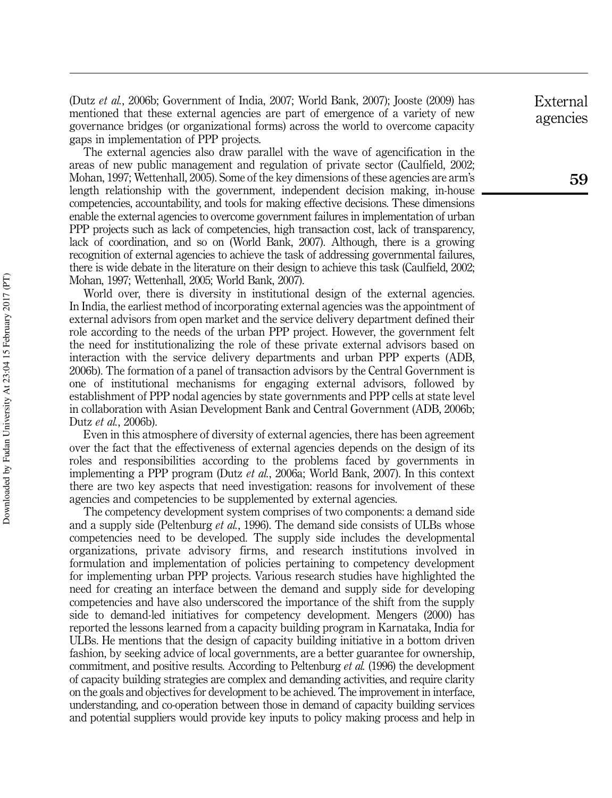(Dutz *et al.*, 2006b; Government of India, 2007; World Bank, 2007); Jooste (2009) has mentioned that these external agencies are part of emergence of a variety of new governance bridges (or organizational forms) across the world to overcome capacity gaps in implementation of PPP projects.

The external agencies also draw parallel with the wave of agencification in the areas of new public management and regulation of private sector (Caulfield, 2002; Mohan, 1997; Wettenhall, 2005). Some of the key dimensions of these agencies are arm's length relationship with the government, independent decision making, in-house competencies, accountability, and tools for making effective decisions. These dimensions enable the external agencies to overcome government failures in implementation of urban PPP projects such as lack of competencies, high transaction cost, lack of transparency, lack of coordination, and so on (World Bank, 2007). Although, there is a growing recognition of external agencies to achieve the task of addressing governmental failures, there is wide debate in the literature on their design to achieve this task (Caulfield, 2002; Mohan, 1997; Wettenhall, 2005; World Bank, 2007).

World over, there is diversity in institutional design of the external agencies. In India, the earliest method of incorporating external agencies was the appointment of external advisors from open market and the service delivery department defined their role according to the needs of the urban PPP project. However, the government felt the need for institutionalizing the role of these private external advisors based on interaction with the service delivery departments and urban PPP experts (ADB, 2006b). The formation of a panel of transaction advisors by the Central Government is one of institutional mechanisms for engaging external advisors, followed by establishment of PPP nodal agencies by state governments and PPP cells at state level in collaboration with Asian Development Bank and Central Government (ADB, 2006b; Dutz *et al.*, 2006b).

Even in this atmosphere of diversity of external agencies, there has been agreement over the fact that the effectiveness of external agencies depends on the design of its roles and responsibilities according to the problems faced by governments in implementing a PPP program (Dutz *et al.*, 2006a; World Bank, 2007). In this context there are two key aspects that need investigation: reasons for involvement of these agencies and competencies to be supplemented by external agencies.

The competency development system comprises of two components: a demand side and a supply side (Peltenburg *et al.*, 1996). The demand side consists of ULBs whose competencies need to be developed. The supply side includes the developmental organizations, private advisory firms, and research institutions involved in formulation and implementation of policies pertaining to competency development for implementing urban PPP projects. Various research studies have highlighted the need for creating an interface between the demand and supply side for developing competencies and have also underscored the importance of the shift from the supply side to demand-led initiatives for competency development. Mengers (2000) has reported the lessons learned from a capacity building program in Karnataka, India for ULBs. He mentions that the design of capacity building initiative in a bottom driven fashion, by seeking advice of local governments, are a better guarantee for ownership, commitment, and positive results. According to Peltenburg *et al.* (1996) the development of capacity building strategies are complex and demanding activities, and require clarity on the goals and objectives for development to be achieved. The improvement in interface, understanding, and co-operation between those in demand of capacity building services and potential suppliers would provide key inputs to policy making process and help in External agencies

59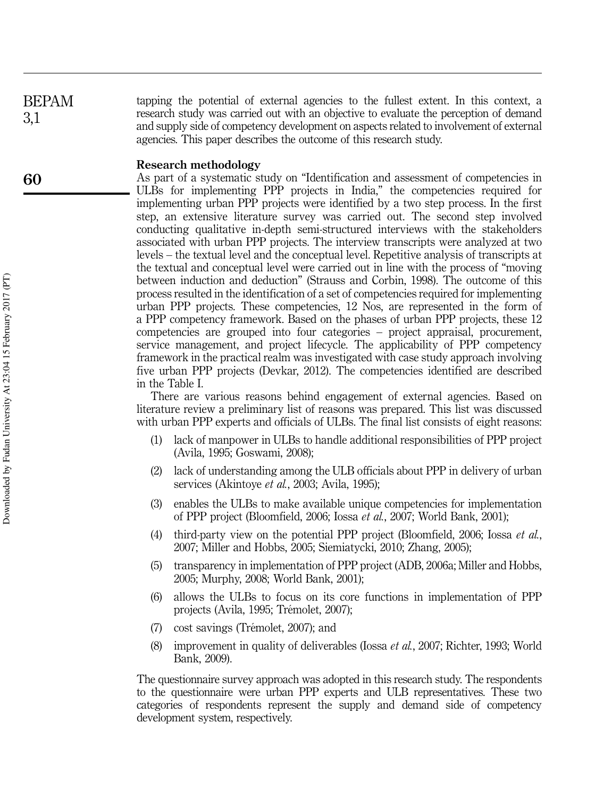tapping the potential of external agencies to the fullest extent. In this context, a research study was carried out with an objective to evaluate the perception of demand and supply side of competency development on aspects related to involvement of external agencies. This paper describes the outcome of this research study. BEPAM

#### Research methodology

As part of a systematic study on "Identification and assessment of competencies in ULBs for implementing PPP projects in India," the competencies required for implementing urban PPP projects were identified by a two step process. In the first step, an extensive literature survey was carried out. The second step involved conducting qualitative in-depth semi-structured interviews with the stakeholders associated with urban PPP projects. The interview transcripts were analyzed at two levels – the textual level and the conceptual level. Repetitive analysis of transcripts at the textual and conceptual level were carried out in line with the process of "moving between induction and deduction" (Strauss and Corbin, 1998). The outcome of this process resulted in the identification of a set of competencies required for implementing urban PPP projects. These competencies, 12 Nos, are represented in the form of a PPP competency framework. Based on the phases of urban PPP projects, these 12 competencies are grouped into four categories – project appraisal, procurement, service management, and project lifecycle. The applicability of PPP competency framework in the practical realm was investigated with case study approach involving five urban PPP projects (Devkar, 2012). The competencies identified are described in the Table I.

There are various reasons behind engagement of external agencies. Based on literature review a preliminary list of reasons was prepared. This list was discussed with urban PPP experts and officials of ULBs. The final list consists of eight reasons:

- (1) lack of manpower in ULBs to handle additional responsibilities of PPP project (Avila, 1995; Goswami, 2008);
- (2) lack of understanding among the ULB officials about PPP in delivery of urban services (Akintoye *et al.*, 2003; Avila, 1995);
- (3) enables the ULBs to make available unique competencies for implementation of PPP project (Bloomfield, 2006; Iossa *et al.*, 2007; World Bank, 2001);
- (4) third-party view on the potential PPP project (Bloomfield, 2006; Iossa *et al.*, 2007; Miller and Hobbs, 2005; Siemiatycki, 2010; Zhang, 2005);
- (5) transparency in implementation of PPP project (ADB, 2006a; Miller and Hobbs, 2005; Murphy, 2008; World Bank, 2001);
- (6) allows the ULBs to focus on its core functions in implementation of PPP projects (Avila, 1995; Trémolet, 2007);
- (7) cost savings (Trémolet, 2007); and
- (8) improvement in quality of deliverables (Iossa *et al.*, 2007; Richter, 1993; World Bank, 2009).

The questionnaire survey approach was adopted in this research study. The respondents to the questionnaire were urban PPP experts and ULB representatives. These two categories of respondents represent the supply and demand side of competency development system, respectively.

60

3,1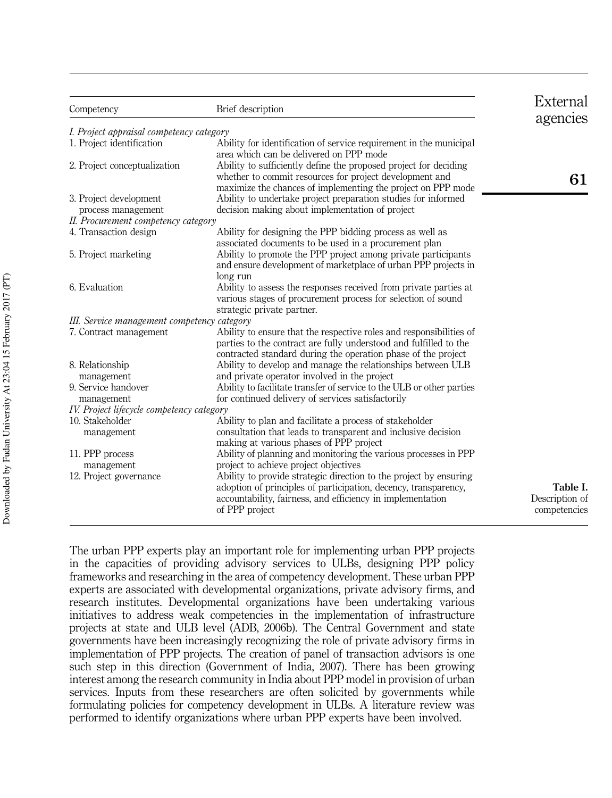| Competency                                  | Brief description                                                                                                                  | External<br>agencies |
|---------------------------------------------|------------------------------------------------------------------------------------------------------------------------------------|----------------------|
| I. Project appraisal competency category    |                                                                                                                                    |                      |
| 1. Project identification                   | Ability for identification of service requirement in the municipal                                                                 |                      |
|                                             | area which can be delivered on PPP mode                                                                                            |                      |
| 2. Project conceptualization                | Ability to sufficiently define the proposed project for deciding<br>whether to commit resources for project development and        |                      |
|                                             | maximize the chances of implementing the project on PPP mode                                                                       | 61                   |
| 3. Project development                      | Ability to undertake project preparation studies for informed                                                                      |                      |
| process management                          | decision making about implementation of project                                                                                    |                      |
| II. Procurement competency category         |                                                                                                                                    |                      |
| 4. Transaction design                       | Ability for designing the PPP bidding process as well as                                                                           |                      |
|                                             | associated documents to be used in a procurement plan                                                                              |                      |
| 5. Project marketing                        | Ability to promote the PPP project among private participants<br>and ensure development of marketplace of urban PPP projects in    |                      |
|                                             | long run                                                                                                                           |                      |
| 6. Evaluation                               | Ability to assess the responses received from private parties at                                                                   |                      |
|                                             | various stages of procurement process for selection of sound                                                                       |                      |
|                                             | strategic private partner.                                                                                                         |                      |
| III. Service management competency category |                                                                                                                                    |                      |
| 7. Contract management                      | Ability to ensure that the respective roles and responsibilities of                                                                |                      |
|                                             | parties to the contract are fully understood and fulfilled to the<br>contracted standard during the operation phase of the project |                      |
| 8. Relationship                             | Ability to develop and manage the relationships between ULB                                                                        |                      |
| management                                  | and private operator involved in the project                                                                                       |                      |
| 9. Service handover                         | Ability to facilitate transfer of service to the ULB or other parties                                                              |                      |
| management                                  | for continued delivery of services satisfactorily                                                                                  |                      |
| IV. Project lifecycle competency category   |                                                                                                                                    |                      |
| 10. Stakeholder                             | Ability to plan and facilitate a process of stakeholder                                                                            |                      |
| management                                  | consultation that leads to transparent and inclusive decision                                                                      |                      |
| 11. PPP process                             | making at various phases of PPP project<br>Ability of planning and monitoring the various processes in PPP                         |                      |
| management                                  | project to achieve project objectives                                                                                              |                      |
| 12. Project governance                      | Ability to provide strategic direction to the project by ensuring                                                                  |                      |
|                                             | adoption of principles of participation, decency, transparency,                                                                    | Table I.             |
|                                             | accountability, fairness, and efficiency in implementation                                                                         | Description of       |
|                                             | of PPP project                                                                                                                     | competencies         |

Downloaded by Fudan University At 23:04 15 February 2017 (PT) Downloaded by Fudan University At 23:04 15 February 2017 (PT)

> The urban PPP experts play an important role for implementing urban PPP projects in the capacities of providing advisory services to ULBs, designing PPP policy frameworks and researching in the area of competency development. These urban PPP experts are associated with developmental organizations, private advisory firms, and research institutes. Developmental organizations have been undertaking various initiatives to address weak competencies in the implementation of infrastructure projects at state and ULB level (ADB, 2006b). The Central Government and state governments have been increasingly recognizing the role of private advisory firms in implementation of PPP projects. The creation of panel of transaction advisors is one such step in this direction (Government of India, 2007). There has been growing interest among the research community in India about PPP model in provision of urban services. Inputs from these researchers are often solicited by governments while formulating policies for competency development in ULBs. A literature review was performed to identify organizations where urban PPP experts have been involved.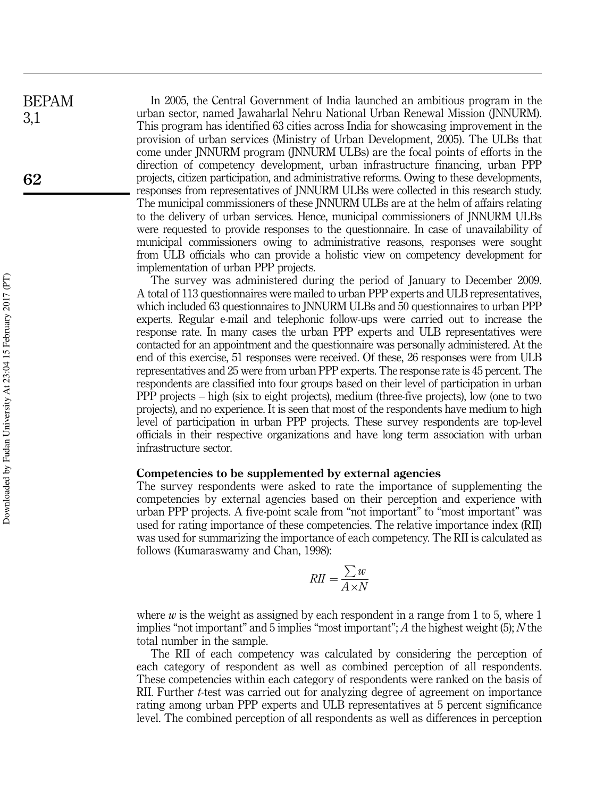In 2005, the Central Government of India launched an ambitious program in the urban sector, named Jawaharlal Nehru National Urban Renewal Mission (JNNURM). This program has identified 63 cities across India for showcasing improvement in the provision of urban services (Ministry of Urban Development, 2005). The ULBs that come under JNNURM program (JNNURM ULBs) are the focal points of efforts in the direction of competency development, urban infrastructure financing, urban PPP projects, citizen participation, and administrative reforms. Owing to these developments, responses from representatives of JNNURM ULBs were collected in this research study. The municipal commissioners of these JNNURM ULBs are at the helm of affairs relating to the delivery of urban services. Hence, municipal commissioners of JNNURM ULBs were requested to provide responses to the questionnaire. In case of unavailability of municipal commissioners owing to administrative reasons, responses were sought from ULB officials who can provide a holistic view on competency development for implementation of urban PPP projects.

The survey was administered during the period of January to December 2009. A total of 113 questionnaires were mailed to urban PPP experts and ULB representatives, which included 63 questionnaires to JNNURM ULBs and 50 questionnaires to urban PPP experts. Regular e-mail and telephonic follow-ups were carried out to increase the response rate. In many cases the urban PPP experts and ULB representatives were contacted for an appointment and the questionnaire was personally administered. At the end of this exercise, 51 responses were received. Of these, 26 responses were from ULB representatives and 25 were from urban PPP experts. The response rate is 45 percent. The respondents are classified into four groups based on their level of participation in urban PPP projects – high (six to eight projects), medium (three-five projects), low (one to two projects), and no experience. It is seen that most of the respondents have medium to high level of participation in urban PPP projects. These survey respondents are top-level officials in their respective organizations and have long term association with urban infrastructure sector.

#### Competencies to be supplemented by external agencies

The survey respondents were asked to rate the importance of supplementing the competencies by external agencies based on their perception and experience with urban PPP projects. A five-point scale from "not important" to "most important" was used for rating importance of these competencies. The relative importance index (RII) was used for summarizing the importance of each competency. The RII is calculated as follows (Kumaraswamy and Chan, 1998):

$$
RII = \frac{\sum w}{A \times N}
$$

where  $w$  is the weight as assigned by each respondent in a range from 1 to 5, where 1 implies "not important" and 5 implies "most important"; *A* the highest weight (5); *N* the total number in the sample.

The RII of each competency was calculated by considering the perception of each category of respondent as well as combined perception of all respondents. These competencies within each category of respondents were ranked on the basis of RII. Further *t*-test was carried out for analyzing degree of agreement on importance rating among urban PPP experts and ULB representatives at 5 percent significance level. The combined perception of all respondents as well as differences in perception

3,1

BEPAM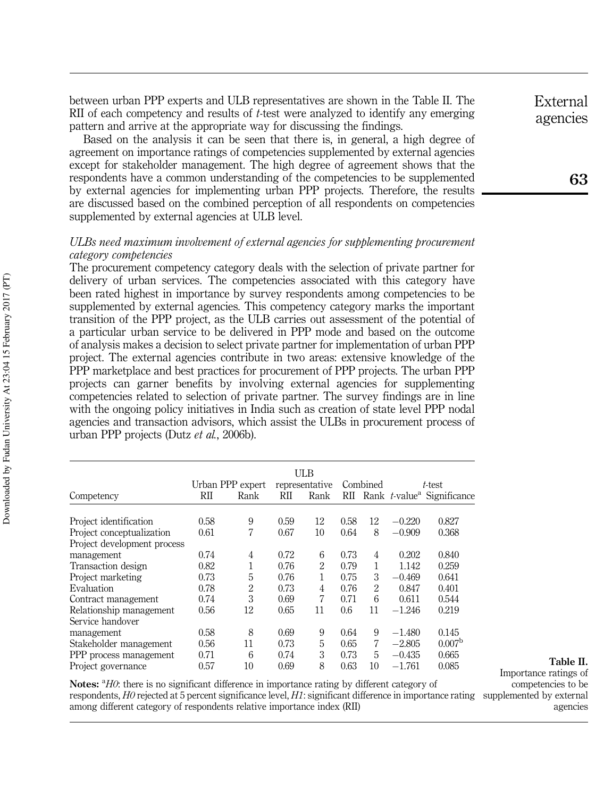between urban PPP experts and ULB representatives are shown in the Table II. The RII of each competency and results of *t*-test were analyzed to identify any emerging pattern and arrive at the appropriate way for discussing the findings.

Based on the analysis it can be seen that there is, in general, a high degree of agreement on importance ratings of competencies supplemented by external agencies except for stakeholder management. The high degree of agreement shows that the respondents have a common understanding of the competencies to be supplemented by external agencies for implementing urban PPP projects. Therefore, the results are discussed based on the combined perception of all respondents on competencies supplemented by external agencies at ULB level.

#### *ULBs need maximum involvement of external agencies for supplementing procurement category competencies*

The procurement competency category deals with the selection of private partner for delivery of urban services. The competencies associated with this category have been rated highest in importance by survey respondents among competencies to be supplemented by external agencies. This competency category marks the important transition of the PPP project, as the ULB carries out assessment of the potential of a particular urban service to be delivered in PPP mode and based on the outcome of analysis makes a decision to select private partner for implementation of urban PPP project. The external agencies contribute in two areas: extensive knowledge of the PPP marketplace and best practices for procurement of PPP projects. The urban PPP projects can garner benefits by involving external agencies for supplementing competencies related to selection of private partner. The survey findings are in line with the ongoing policy initiatives in India such as creation of state level PPP nodal agencies and transaction advisors, which assist the ULBs in procurement process of urban PPP projects (Dutz *et al.*, 2006b).

|                             |      |                  |      | ULB            |      |          |          |                                        |
|-----------------------------|------|------------------|------|----------------|------|----------|----------|----------------------------------------|
|                             |      | Urban PPP expert |      | representative |      | Combined |          | t-test                                 |
| Competency                  | RП   | Rank             | RП   | Rank           | RII  |          |          | Rank t-value <sup>a</sup> Significance |
|                             |      |                  |      |                |      |          |          |                                        |
| Project identification      | 0.58 | 9                | 0.59 | 12             | 0.58 | 12       | $-0.220$ | 0.827                                  |
| Project conceptualization   | 0.61 | 7                | 0.67 | 10             | 0.64 | 8        | $-0.909$ | 0.368                                  |
| Project development process |      |                  |      |                |      |          |          |                                        |
| management                  | 0.74 | $\overline{4}$   | 0.72 | 6              | 0.73 | 4        | 0.202    | 0.840                                  |
| Transaction design          | 0.82 | 1                | 0.76 | $\overline{2}$ | 0.79 |          | 1.142    | 0.259                                  |
| Project marketing           | 0.73 | 5                | 0.76 | 1              | 0.75 | 3        | $-0.469$ | 0.641                                  |
| Evaluation                  | 0.78 | $\overline{2}$   | 0.73 | $\overline{4}$ | 0.76 | 2        | 0.847    | 0.401                                  |
| Contract management         | 0.74 | 3                | 0.69 | 7              | 0.71 | 6        | 0.611    | 0.544                                  |
| Relationship management     | 0.56 | 12               | 0.65 | 11             | 0.6  | 11       | $-1.246$ | 0.219                                  |
| Service handover            |      |                  |      |                |      |          |          |                                        |
| management                  | 0.58 | 8                | 0.69 | 9              | 0.64 | 9        | $-1.480$ | 0.145                                  |
| Stakeholder management      | 0.56 | 11               | 0.73 | 5              | 0.65 | 7        | $-2.805$ | 0.007 <sup>b</sup>                     |
| PPP process management      | 0.71 | 6                | 0.74 | 3              | 0.73 | 5        | $-0.435$ | 0.665                                  |
| Project governance          | 0.57 | 10               | 0.69 | 8              | 0.63 | 10       | $-1.761$ | 0.085                                  |

Notes: <sup>a</sup>H0: there is no significant difference in importance rating by different category of respondents, *H0* rejected at 5 percent significance level, *H1*: significant difference in importance rating supplemented by external among different category of respondents relative importance index (RII) competencies to be agencies

Table II.

Importance ratings of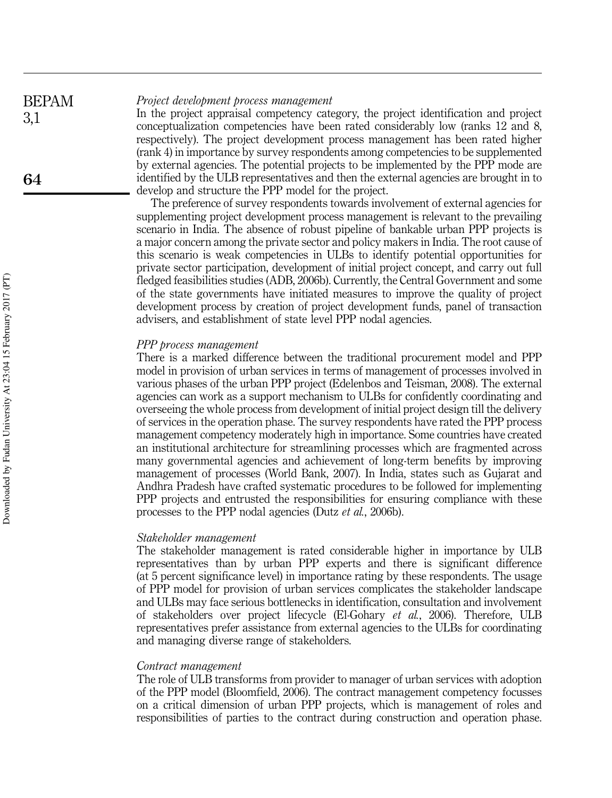#### *Project development process management* BEPAM

In the project appraisal competency category, the project identification and project conceptualization competencies have been rated considerably low (ranks 12 and 8, respectively). The project development process management has been rated higher (rank 4) in importance by survey respondents among competencies to be supplemented by external agencies. The potential projects to be implemented by the PPP mode are identified by the ULB representatives and then the external agencies are brought in to develop and structure the PPP model for the project.

The preference of survey respondents towards involvement of external agencies for supplementing project development process management is relevant to the prevailing scenario in India. The absence of robust pipeline of bankable urban PPP projects is a major concern among the private sector and policy makers in India. The root cause of this scenario is weak competencies in ULBs to identify potential opportunities for private sector participation, development of initial project concept, and carry out full fledged feasibilities studies (ADB, 2006b). Currently, the Central Government and some of the state governments have initiated measures to improve the quality of project development process by creation of project development funds, panel of transaction advisers, and establishment of state level PPP nodal agencies.

#### *PPP process management*

There is a marked difference between the traditional procurement model and PPP model in provision of urban services in terms of management of processes involved in various phases of the urban PPP project (Edelenbos and Teisman, 2008). The external agencies can work as a support mechanism to ULBs for confidently coordinating and overseeing the whole process from development of initial project design till the delivery of services in the operation phase. The survey respondents have rated the PPP process management competency moderately high in importance. Some countries have created an institutional architecture for streamlining processes which are fragmented across many governmental agencies and achievement of long-term benefits by improving management of processes (World Bank, 2007). In India, states such as Gujarat and Andhra Pradesh have crafted systematic procedures to be followed for implementing PPP projects and entrusted the responsibilities for ensuring compliance with these processes to the PPP nodal agencies (Dutz *et al.*, 2006b).

#### *Stakeholder management*

The stakeholder management is rated considerable higher in importance by ULB representatives than by urban PPP experts and there is significant difference (at 5 percent significance level) in importance rating by these respondents. The usage of PPP model for provision of urban services complicates the stakeholder landscape and ULBs may face serious bottlenecks in identification, consultation and involvement of stakeholders over project lifecycle (El-Gohary *et al.*, 2006). Therefore, ULB representatives prefer assistance from external agencies to the ULBs for coordinating and managing diverse range of stakeholders.

#### *Contract management*

The role of ULB transforms from provider to manager of urban services with adoption of the PPP model (Bloomfield, 2006). The contract management competency focusses on a critical dimension of urban PPP projects, which is management of roles and responsibilities of parties to the contract during construction and operation phase.

64

3,1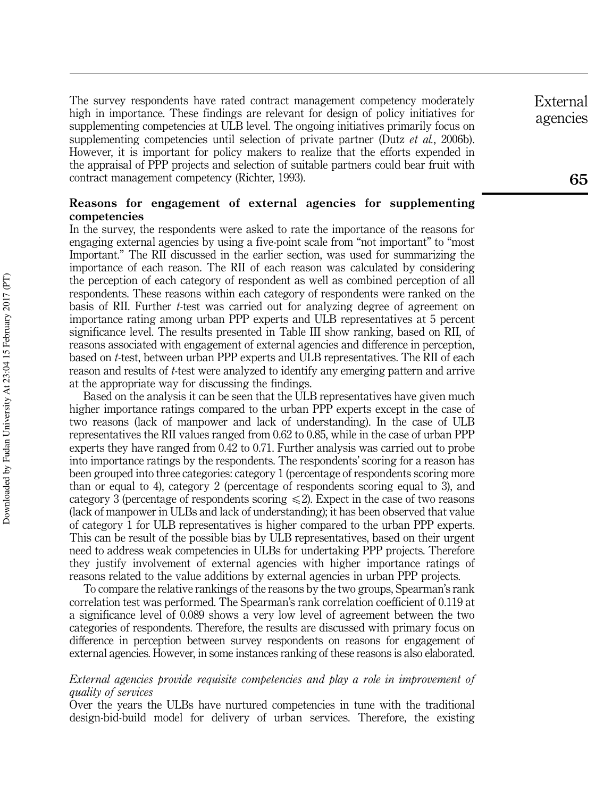The survey respondents have rated contract management competency moderately high in importance. These findings are relevant for design of policy initiatives for supplementing competencies at ULB level. The ongoing initiatives primarily focus on supplementing competencies until selection of private partner (Dutz *et al.*, 2006b). However, it is important for policy makers to realize that the efforts expended in the appraisal of PPP projects and selection of suitable partners could bear fruit with contract management competency (Richter, 1993).

#### Reasons for engagement of external agencies for supplementing competencies

In the survey, the respondents were asked to rate the importance of the reasons for engaging external agencies by using a five-point scale from "not important" to "most Important." The RII discussed in the earlier section, was used for summarizing the importance of each reason. The RII of each reason was calculated by considering the perception of each category of respondent as well as combined perception of all respondents. These reasons within each category of respondents were ranked on the basis of RII. Further *t*-test was carried out for analyzing degree of agreement on importance rating among urban PPP experts and ULB representatives at 5 percent significance level. The results presented in Table III show ranking, based on RII, of reasons associated with engagement of external agencies and difference in perception, based on *t*-test, between urban PPP experts and ULB representatives. The RII of each reason and results of *t*-test were analyzed to identify any emerging pattern and arrive at the appropriate way for discussing the findings.

Based on the analysis it can be seen that the ULB representatives have given much higher importance ratings compared to the urban PPP experts except in the case of two reasons (lack of manpower and lack of understanding). In the case of ULB representatives the RII values ranged from 0.62 to 0.85, while in the case of urban PPP experts they have ranged from 0.42 to 0.71. Further analysis was carried out to probe into importance ratings by the respondents. The respondents' scoring for a reason has been grouped into three categories: category 1 (percentage of respondents scoring more than or equal to 4), category 2 (percentage of respondents scoring equal to 3), and category 3 (percentage of respondents scoring  $\leq 2$ ). Expect in the case of two reasons (lack of manpower in ULBs and lack of understanding); it has been observed that value of category 1 for ULB representatives is higher compared to the urban PPP experts. This can be result of the possible bias by ULB representatives, based on their urgent need to address weak competencies in ULBs for undertaking PPP projects. Therefore they justify involvement of external agencies with higher importance ratings of reasons related to the value additions by external agencies in urban PPP projects.

To compare the relative rankings of the reasons by the two groups, Spearman's rank correlation test was performed. The Spearman's rank correlation coefficient of 0.119 at a significance level of 0.089 shows a very low level of agreement between the two categories of respondents. Therefore, the results are discussed with primary focus on difference in perception between survey respondents on reasons for engagement of external agencies. However, in some instances ranking of these reasons is also elaborated.

#### *External agencies provide requisite competencies and play a role in improvement of quality of services*

Over the years the ULBs have nurtured competencies in tune with the traditional design-bid-build model for delivery of urban services. Therefore, the existing External agencies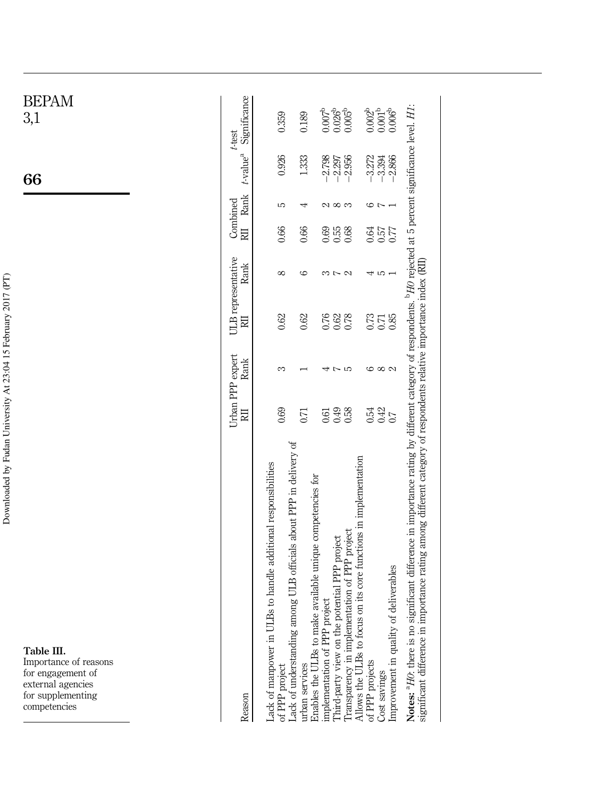| <b>BEPAM</b><br>3,1                                                                                                | Significance<br>t-test     | 0.359                                                                               | 0.189                                                                                | 0.007 <sup>b</sup>                                                                             | $0.026^{\rm b}$                               | $0.005^{\rm b}$                                                                                                   | $0.002^{\rm b}$ | $0.001^{\rm b}$ | $0.006^{\rm b}$                            |                                                                                                                                                                                                                                                                                                                 |
|--------------------------------------------------------------------------------------------------------------------|----------------------------|-------------------------------------------------------------------------------------|--------------------------------------------------------------------------------------|------------------------------------------------------------------------------------------------|-----------------------------------------------|-------------------------------------------------------------------------------------------------------------------|-----------------|-----------------|--------------------------------------------|-----------------------------------------------------------------------------------------------------------------------------------------------------------------------------------------------------------------------------------------------------------------------------------------------------------------|
| 66                                                                                                                 | $t$ -value <sup>a</sup>    | 0.926                                                                               | 1.333                                                                                | $-2.798$                                                                                       | $-2.297$                                      | $-2.956$                                                                                                          | $-3.272$        | $-3.394$        | $-2.866$                                   |                                                                                                                                                                                                                                                                                                                 |
|                                                                                                                    | Rank                       | 5                                                                                   | 4                                                                                    |                                                                                                | လထက                                           |                                                                                                                   |                 | $\frac{1}{2}$   |                                            |                                                                                                                                                                                                                                                                                                                 |
|                                                                                                                    | Combined<br>EI             | 0.66                                                                                | 0.66                                                                                 | 0.69                                                                                           | 0.55                                          | 0.68                                                                                                              | 0.64            | 0.57            | 0.77                                       |                                                                                                                                                                                                                                                                                                                 |
|                                                                                                                    | ULB representative<br>Rank | $^{\circ}$                                                                          | 6                                                                                    |                                                                                                | $\frac{3}{2}$                                 |                                                                                                                   |                 | ל הי            |                                            |                                                                                                                                                                                                                                                                                                                 |
|                                                                                                                    | 旵                          | 0.62                                                                                | 0.62                                                                                 | 0.76                                                                                           | 0.62                                          | 0.78                                                                                                              | 0.73            |                 | 0.71                                       |                                                                                                                                                                                                                                                                                                                 |
|                                                                                                                    | Urban PPP expert<br>Rank   | S                                                                                   |                                                                                      |                                                                                                | 475                                           |                                                                                                                   |                 |                 | <u>ဖ</u> ထ လ                               |                                                                                                                                                                                                                                                                                                                 |
|                                                                                                                    | 旵                          | 0.69                                                                                | 0.71                                                                                 | 0.61                                                                                           | 0.49                                          | 0.58                                                                                                              | 0.54            |                 | $\begin{array}{c} 0.42 \\ 0.7 \end{array}$ |                                                                                                                                                                                                                                                                                                                 |
| Table III.<br>Importance of reasons<br>for engagement of<br>external agencies<br>for supplementing<br>competencies | Reason                     | to handle additional responsibilities<br>Lack of manpower in ULBs<br>of PPP project | Lack of understanding among ULB officials about PPP in delivery of<br>urban services | available unique competencies for<br>implementation of PPP project<br>Enables the ULBs to make | Third-party view on the potential PPP project | Allows the ULBs to focus on its core functions in implementation<br>Transparency in implementation of PPP project | of PPP projects | Cost savings    | deliverables<br>Improvement in quality of  | Notes: <sup>3</sup> HO: there is no significant difference in importance rating by different category of respondents. <sup>b</sup> HO rejected at 5 percent significance level. H1:<br>oortance rating among different category of respondents relative importance index (RII)<br>significant difference in imp |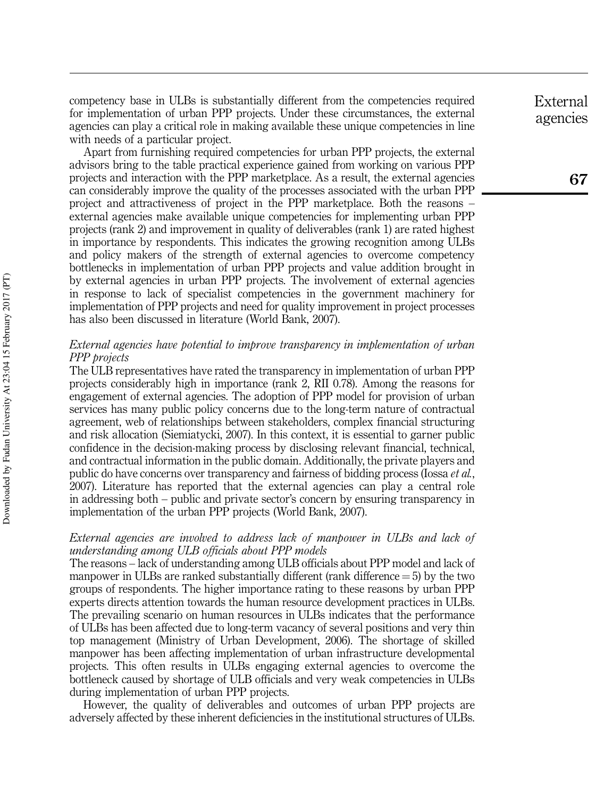competency base in ULBs is substantially different from the competencies required for implementation of urban PPP projects. Under these circumstances, the external agencies can play a critical role in making available these unique competencies in line with needs of a particular project.

Apart from furnishing required competencies for urban PPP projects, the external advisors bring to the table practical experience gained from working on various PPP projects and interaction with the PPP marketplace. As a result, the external agencies can considerably improve the quality of the processes associated with the urban PPP project and attractiveness of project in the PPP marketplace. Both the reasons – external agencies make available unique competencies for implementing urban PPP projects (rank 2) and improvement in quality of deliverables (rank 1) are rated highest in importance by respondents. This indicates the growing recognition among ULBs and policy makers of the strength of external agencies to overcome competency bottlenecks in implementation of urban PPP projects and value addition brought in by external agencies in urban PPP projects. The involvement of external agencies in response to lack of specialist competencies in the government machinery for implementation of PPP projects and need for quality improvement in project processes has also been discussed in literature (World Bank, 2007).

#### *External agencies have potential to improve transparency in implementation of urban PPP projects*

The ULB representatives have rated the transparency in implementation of urban PPP projects considerably high in importance (rank 2, RII 0.78). Among the reasons for engagement of external agencies. The adoption of PPP model for provision of urban services has many public policy concerns due to the long-term nature of contractual agreement, web of relationships between stakeholders, complex financial structuring and risk allocation (Siemiatycki, 2007). In this context, it is essential to garner public confidence in the decision-making process by disclosing relevant financial, technical, and contractual information in the public domain. Additionally, the private players and public do have concerns over transparency and fairness of bidding process (Iossa *et al.*, 2007). Literature has reported that the external agencies can play a central role in addressing both – public and private sector's concern by ensuring transparency in implementation of the urban PPP projects (World Bank, 2007).

#### *External agencies are involved to address lack of manpower in ULBs and lack of understanding among ULB officials about PPP models*

The reasons – lack of understanding among ULB officials about PPP model and lack of manpower in ULBs are ranked substantially different (rank difference  $=$  5) by the two groups of respondents. The higher importance rating to these reasons by urban PPP experts directs attention towards the human resource development practices in ULBs. The prevailing scenario on human resources in ULBs indicates that the performance of ULBs has been affected due to long-term vacancy of several positions and very thin top management (Ministry of Urban Development, 2006). The shortage of skilled manpower has been affecting implementation of urban infrastructure developmental projects. This often results in ULBs engaging external agencies to overcome the bottleneck caused by shortage of ULB officials and very weak competencies in ULBs during implementation of urban PPP projects.

However, the quality of deliverables and outcomes of urban PPP projects are adversely affected by these inherent deficiencies in the institutional structures of ULBs.

External agencies

67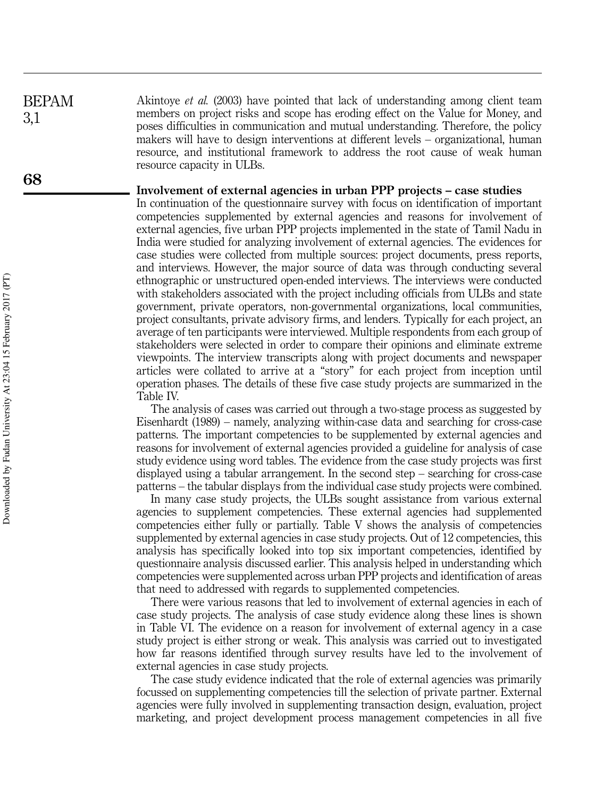#### Akintoye *et al.* (2003) have pointed that lack of understanding among client team members on project risks and scope has eroding effect on the Value for Money, and poses difficulties in communication and mutual understanding. Therefore, the policy makers will have to design interventions at different levels – organizational, human resource, and institutional framework to address the root cause of weak human resource capacity in ULBs.

#### Involvement of external agencies in urban PPP projects – case studies

In continuation of the questionnaire survey with focus on identification of important competencies supplemented by external agencies and reasons for involvement of external agencies, five urban PPP projects implemented in the state of Tamil Nadu in India were studied for analyzing involvement of external agencies. The evidences for case studies were collected from multiple sources: project documents, press reports, and interviews. However, the major source of data was through conducting several ethnographic or unstructured open-ended interviews. The interviews were conducted with stakeholders associated with the project including officials from ULBs and state government, private operators, non-governmental organizations, local communities, project consultants, private advisory firms, and lenders. Typically for each project, an average of ten participants were interviewed. Multiple respondents from each group of stakeholders were selected in order to compare their opinions and eliminate extreme viewpoints. The interview transcripts along with project documents and newspaper articles were collated to arrive at a "story" for each project from inception until operation phases. The details of these five case study projects are summarized in the Table IV.

The analysis of cases was carried out through a two-stage process as suggested by Eisenhardt (1989) – namely, analyzing within-case data and searching for cross-case patterns. The important competencies to be supplemented by external agencies and reasons for involvement of external agencies provided a guideline for analysis of case study evidence using word tables. The evidence from the case study projects was first displayed using a tabular arrangement. In the second step – searching for cross-case patterns – the tabular displays from the individual case study projects were combined.

In many case study projects, the ULBs sought assistance from various external agencies to supplement competencies. These external agencies had supplemented competencies either fully or partially. Table V shows the analysis of competencies supplemented by external agencies in case study projects. Out of 12 competencies, this analysis has specifically looked into top six important competencies, identified by questionnaire analysis discussed earlier. This analysis helped in understanding which competencies were supplemented across urban PPP projects and identification of areas that need to addressed with regards to supplemented competencies.

There were various reasons that led to involvement of external agencies in each of case study projects. The analysis of case study evidence along these lines is shown in Table VI. The evidence on a reason for involvement of external agency in a case study project is either strong or weak. This analysis was carried out to investigated how far reasons identified through survey results have led to the involvement of external agencies in case study projects.

The case study evidence indicated that the role of external agencies was primarily focussed on supplementing competencies till the selection of private partner. External agencies were fully involved in supplementing transaction design, evaluation, project marketing, and project development process management competencies in all five

BEPAM 3,1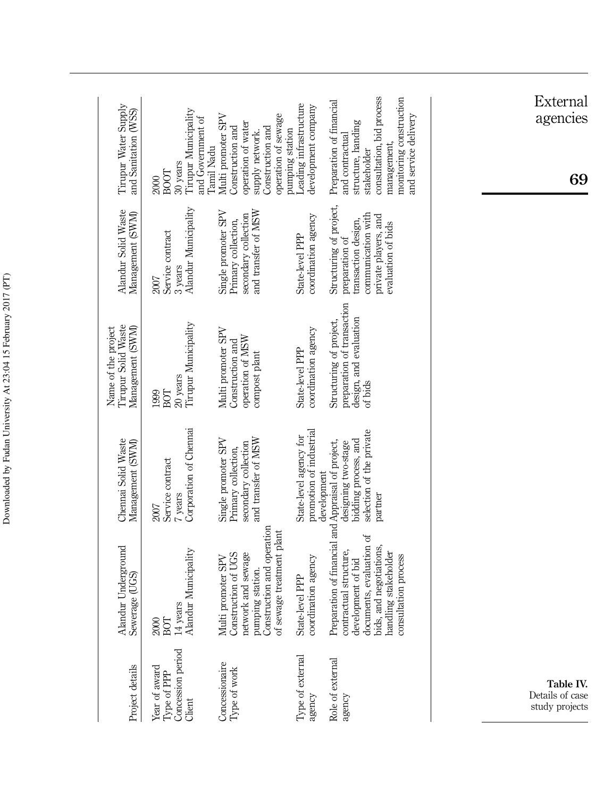| Project details                                             | Alandur Underground<br>Sewerage (UGS)                                                                                                                                                                     | Chennai Solid Waste<br>Management (SWM)                                                   | Tirupur Solid Waste<br>Management (SWM)<br>Name of the project                             | Alandur Solid Waste<br>Management (SWM)                                                                                             | Tirupur Water Supply<br>and Sanitation (WSS)                                                                                                                                    |
|-------------------------------------------------------------|-----------------------------------------------------------------------------------------------------------------------------------------------------------------------------------------------------------|-------------------------------------------------------------------------------------------|--------------------------------------------------------------------------------------------|-------------------------------------------------------------------------------------------------------------------------------------|---------------------------------------------------------------------------------------------------------------------------------------------------------------------------------|
| Concession period<br>Client<br>Year of award<br>Type of PPP | 2000<br>BOT<br>14 years<br>Alandur Municipality                                                                                                                                                           | Corporation of Chennai<br>Service contract<br>7 years<br>2007                             | Tirupur Municipality<br>20 years<br>BOT<br>1999                                            | Alandur Municipality<br>Service contract<br>3 years<br>2007                                                                         | Tirupur Municipality<br>and Government of<br>Tamil Nadu<br>30 years<br><b>BOOT</b><br>2000                                                                                      |
| Concessionaire<br>Type of work                              | pumping station.<br>Construction and operation<br>of sewage treatment plant<br>Multi promoter SPV<br>Construction of UGS<br>network and sewage                                                            | and transfer of MSW<br>Single promoter SPV<br>secondary collection<br>Primary collection, | Multi promoter SPV<br>operation of MSW<br>Construction and<br>compost plant                | Single promoter SPV<br>and transfer of MSW<br>secondary collection<br>Primary collection,                                           | Multi promoter SPV<br>operation of sewage<br>operation of water<br>Construction and<br>Construction and<br>supply network.                                                      |
| Type of external<br>agency                                  | coordination agency<br>State-level PPP                                                                                                                                                                    | promotion of industria<br>State-level agency for<br>development                           | coordination agency<br>State-level PPP                                                     | coordination agency<br>State-level PPP                                                                                              | Leading infrastructure<br>development company<br>pumping station                                                                                                                |
| Role of external<br>agency                                  | Preparation of financial and Appraisal of project,<br>contractual structure,<br>development of bid<br>documents, evaluation of<br>bids, and negotiations,<br>handling stakeholder<br>consultation process | selection of the private<br>bidding process, and<br>designing two-stage<br>partner        | preparation of transaction<br>design, and evaluation<br>Structuring of project,<br>of bids | Structuring of project,<br>communication with<br>private players, and<br>transaction design<br>evaluation of bids<br>preparation of | consultation, bid process<br>monitoring construction<br>Preparation of financial<br>and service delivery<br>structure, handing<br>and contractual<br>management,<br>stakeholder |

Table IV. Details of case study projects

69

External agencies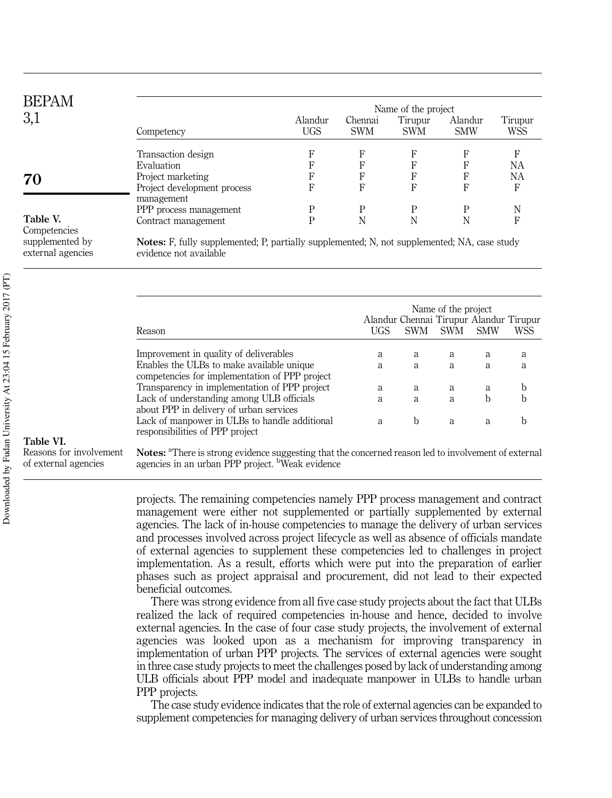| Competency                  | Alandur<br>UGS                       | Chennai<br><b>SWM</b> | Tirupur<br><b>SWM</b> | Alandur<br><b>SMW</b> | Tirupur<br><b>WSS</b> |
|-----------------------------|--------------------------------------|-----------------------|-----------------------|-----------------------|-----------------------|
| Transaction design          | F                                    | F                     | F                     | F                     | F                     |
| Evaluation                  | F                                    |                       | F                     | F                     | NΑ                    |
| Project marketing           | F                                    | F                     | F                     | F                     | NА                    |
| Project development process | F                                    | F                     | F                     | F                     | F                     |
|                             | Ρ                                    | Р                     | Р                     | Р                     | Ν                     |
| Contract management         | Р                                    | N                     | N                     | N                     |                       |
|                             | management<br>PPP process management |                       |                       |                       | Name of the project   |

Notes: F, fully supplemented; P, partially supplemented; N, not supplemented; NA, case study evidence not available

|                                                                                             | Name of the project |            |            |                                         |     |  |  |  |
|---------------------------------------------------------------------------------------------|---------------------|------------|------------|-----------------------------------------|-----|--|--|--|
|                                                                                             |                     |            |            | Alandur Chennai Tirupur Alandur Tirupur |     |  |  |  |
| Reason                                                                                      | UGS                 | <b>SWM</b> | <b>SWM</b> | <b>SMW</b>                              | WSS |  |  |  |
| Improvement in quality of deliverables                                                      | a                   | a          | a          | a                                       | а   |  |  |  |
| Enables the ULBs to make available unique<br>competencies for implementation of PPP project | a                   | a          | a          | a                                       | a   |  |  |  |
| Transparency in implementation of PPP project                                               | a                   | a          | a          | a                                       |     |  |  |  |
| Lack of understanding among ULB officials<br>about PPP in delivery of urban services        | a                   | a          | a          | b                                       |     |  |  |  |
| Lack of manpower in ULBs to handle additional<br>responsibilities of PPP project            | a                   | b          | a          | a                                       |     |  |  |  |

#### Table VI. Reasons for involvement

of external agencies

external agencies

Notes: <sup>a</sup>There is strong evidence suggesting that the concerned reason led to involvement of external agencies in an urban PPP project. <sup>b</sup>Weak evidence

projects. The remaining competencies namely PPP process management and contract management were either not supplemented or partially supplemented by external agencies. The lack of in-house competencies to manage the delivery of urban services and processes involved across project lifecycle as well as absence of officials mandate of external agencies to supplement these competencies led to challenges in project implementation. As a result, efforts which were put into the preparation of earlier phases such as project appraisal and procurement, did not lead to their expected beneficial outcomes.

There was strong evidence from all five case study projects about the fact that ULBs realized the lack of required competencies in-house and hence, decided to involve external agencies. In the case of four case study projects, the involvement of external agencies was looked upon as a mechanism for improving transparency in implementation of urban PPP projects. The services of external agencies were sought in three case study projects to meet the challenges posed by lack of understanding among ULB officials about PPP model and inadequate manpower in ULBs to handle urban PPP projects.

The case study evidence indicates that the role of external agencies can be expanded to supplement competencies for managing delivery of urban services throughout concession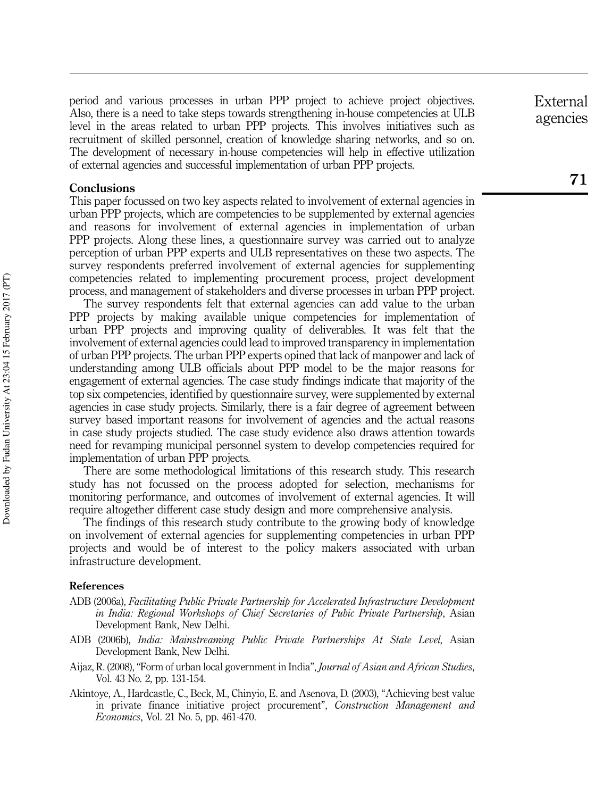period and various processes in urban PPP project to achieve project objectives. Also, there is a need to take steps towards strengthening in-house competencies at ULB level in the areas related to urban PPP projects. This involves initiatives such as recruitment of skilled personnel, creation of knowledge sharing networks, and so on. The development of necessary in-house competencies will help in effective utilization of external agencies and successful implementation of urban PPP projects.

#### **Conclusions**

This paper focussed on two key aspects related to involvement of external agencies in urban PPP projects, which are competencies to be supplemented by external agencies and reasons for involvement of external agencies in implementation of urban PPP projects. Along these lines, a questionnaire survey was carried out to analyze perception of urban PPP experts and ULB representatives on these two aspects. The survey respondents preferred involvement of external agencies for supplementing competencies related to implementing procurement process, project development process, and management of stakeholders and diverse processes in urban PPP project.

The survey respondents felt that external agencies can add value to the urban PPP projects by making available unique competencies for implementation of urban PPP projects and improving quality of deliverables. It was felt that the involvement of external agencies could lead to improved transparency in implementation of urban PPP projects. The urban PPP experts opined that lack of manpower and lack of understanding among ULB officials about PPP model to be the major reasons for engagement of external agencies. The case study findings indicate that majority of the top six competencies, identified by questionnaire survey, were supplemented by external agencies in case study projects. Similarly, there is a fair degree of agreement between survey based important reasons for involvement of agencies and the actual reasons in case study projects studied. The case study evidence also draws attention towards need for revamping municipal personnel system to develop competencies required for implementation of urban PPP projects.

There are some methodological limitations of this research study. This research study has not focussed on the process adopted for selection, mechanisms for monitoring performance, and outcomes of involvement of external agencies. It will require altogether different case study design and more comprehensive analysis.

The findings of this research study contribute to the growing body of knowledge on involvement of external agencies for supplementing competencies in urban PPP projects and would be of interest to the policy makers associated with urban infrastructure development.

#### References

- ADB (2006a), *Facilitating Public Private Partnership for Accelerated Infrastructure Development in India: Regional Workshops of Chief Secretaries of Pubic Private Partnership*, Asian Development Bank, New Delhi.
- ADB (2006b), *India: Mainstreaming Public Private Partnerships At State Level*, Asian Development Bank, New Delhi.
- Aijaz, R. (2008), "Form of urban local government in India", *Journal of Asian and African Studies* , Vol. 43 No. 2, pp. 131-154.
- Akintoye, A., Hardcastle, C., Beck, M., Chinyio, E. and Asenova, D. (2003), "Achieving best value in private finance initiative project procurement", *Construction Management and Economics*, Vol. 21 No. 5, pp. 461-470.

External agencies

71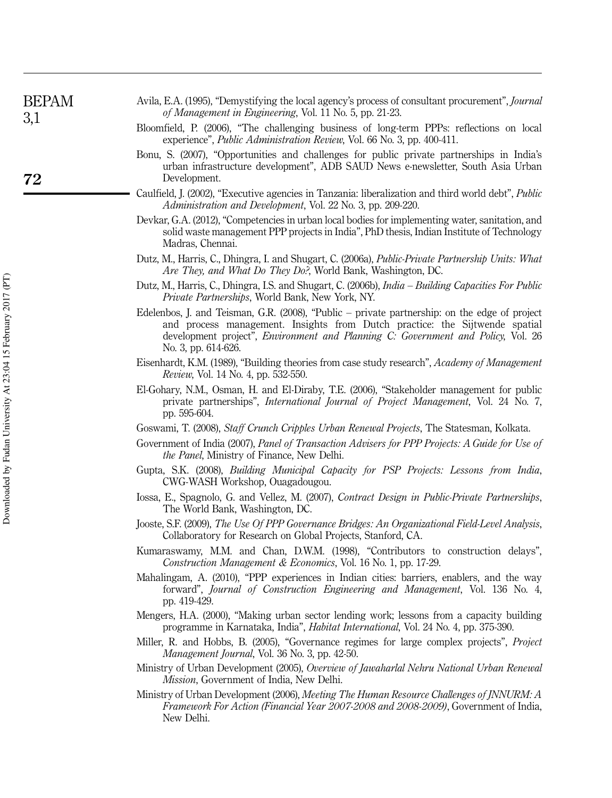| <b>BEPAM</b><br>3,1 | Avila, E.A. (1995), "Demystifying the local agency's process of consultant procurement", <i>Journal</i><br>of Management in Engineering, Vol. 11 No. 5, pp. 21-23.                                                                                                                      |
|---------------------|-----------------------------------------------------------------------------------------------------------------------------------------------------------------------------------------------------------------------------------------------------------------------------------------|
|                     | Bloomfield, P. (2006), "The challenging business of long-term PPPs: reflections on local<br>experience", Public Administration Review, Vol. 66 No. 3, pp. 400-411.                                                                                                                      |
| 72                  | Bonu, S. (2007), "Opportunities and challenges for public private partnerships in India's<br>urban infrastructure development", ADB SAUD News e-newsletter, South Asia Urban<br>Development.                                                                                            |
|                     | Caulfield, J. (2002), "Executive agencies in Tanzania: liberalization and third world debt", Public<br><i>Administration and Development, Vol. 22 No. 3, pp. 209-220.</i>                                                                                                               |
|                     | Devkar, G.A. (2012), "Competencies in urban local bodies for implementing water, sanitation, and<br>solid waste management PPP projects in India", PhD thesis, Indian Institute of Technology<br>Madras, Chennai.                                                                       |
|                     | Dutz, M., Harris, C., Dhingra, I. and Shugart, C. (2006a), Public-Private Partnership Units: What<br>Are They, and What Do They Do?, World Bank, Washington, DC.                                                                                                                        |
|                     | Dutz, M., Harris, C., Dhingra, I.S. and Shugart, C. (2006b), India – Building Capacities For Public<br>Private Partnerships, World Bank, New York, NY.                                                                                                                                  |
|                     | Edelenbos, J. and Teisman, G.R. (2008), "Public – private partnership: on the edge of project<br>and process management. Insights from Dutch practice: the Sijtwende spatial<br>development project", Environment and Planning C: Government and Policy, Vol. 26<br>No. 3, pp. 614-626. |
|                     | Eisenhardt, K.M. (1989), "Building theories from case study research", Academy of Management<br>Review, Vol. 14 No. 4, pp. 532-550.                                                                                                                                                     |
|                     | El-Gohary, N.M., Osman, H. and El-Diraby, T.E. (2006), "Stakeholder management for public<br>private partnerships", International Journal of Project Management, Vol. 24 No. 7,<br>pp. 595-604.                                                                                         |
|                     | Goswami, T. (2008), Staff Crunch Cripples Urban Renewal Projects, The Statesman, Kolkata.                                                                                                                                                                                               |
|                     | Government of India (2007), Panel of Transaction Advisers for PPP Projects: A Guide for Use of<br><i>the Panel</i> , Ministry of Finance, New Delhi.                                                                                                                                    |
|                     | Gupta, S.K. (2008), Building Municipal Capacity for PSP Projects: Lessons from India,<br>CWG-WASH Workshop, Ouagadougou.                                                                                                                                                                |
|                     | Iossa, E., Spagnolo, G. and Vellez, M. (2007), Contract Design in Public-Private Partnerships,<br>The World Bank, Washington, DC.                                                                                                                                                       |
|                     | Jooste, S.F. (2009), The Use Of PPP Governance Bridges: An Organizational Field-Level Analysis,<br>Collaboratory for Research on Global Projects, Stanford, CA.                                                                                                                         |
|                     | Kumaraswamy, M.M. and Chan, D.W.M. (1998), "Contributors to construction delays",<br>Construction Management & Economics, Vol. 16 No. 1, pp. 17-29.                                                                                                                                     |
|                     | Mahalingam, A. (2010), "PPP experiences in Indian cities: barriers, enablers, and the way<br>forward", Journal of Construction Engineering and Management, Vol. 136 No. 4,<br>pp. 419-429.                                                                                              |
|                     | Mengers, H.A. (2000), "Making urban sector lending work; lessons from a capacity building<br>programme in Karnataka, India", <i>Habitat International</i> , Vol. 24 No. 4, pp. 375-390.                                                                                                 |
|                     | Miller, R. and Hobbs, B. (2005), "Governance regimes for large complex projects", Project<br>Management Journal, Vol. 36 No. 3, pp. 42-50.                                                                                                                                              |
|                     | Ministry of Urban Development (2005), Overview of Jawaharlal Nehru National Urban Renewal<br><i>Mission</i> , Government of India, New Delhi.                                                                                                                                           |
|                     | Ministry of Urban Development (2006), Meeting The Human Resource Challenges of JNNURM: A<br>Framework For Action (Financial Year 2007-2008 and 2008-2009), Government of India,<br>New Delhi.                                                                                           |